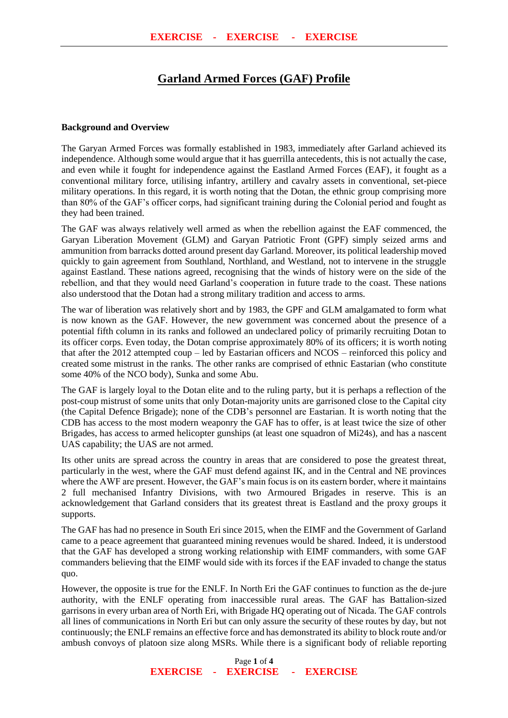# **Garland Armed Forces (GAF) Profile**

#### **Background and Overview**

The Garyan Armed Forces was formally established in 1983, immediately after Garland achieved its independence. Although some would argue that it has guerrilla antecedents, this is not actually the case, and even while it fought for independence against the Eastland Armed Forces (EAF), it fought as a conventional military force, utilising infantry, artillery and cavalry assets in conventional, set-piece military operations. In this regard, it is worth noting that the Dotan, the ethnic group comprising more than 80% of the GAF's officer corps, had significant training during the Colonial period and fought as they had been trained.

The GAF was always relatively well armed as when the rebellion against the EAF commenced, the Garyan Liberation Movement (GLM) and Garyan Patriotic Front (GPF) simply seized arms and ammunition from barracks dotted around present day Garland. Moreover, its political leadership moved quickly to gain agreement from Southland, Northland, and Westland, not to intervene in the struggle against Eastland. These nations agreed, recognising that the winds of history were on the side of the rebellion, and that they would need Garland's cooperation in future trade to the coast. These nations also understood that the Dotan had a strong military tradition and access to arms.

The war of liberation was relatively short and by 1983, the GPF and GLM amalgamated to form what is now known as the GAF. However, the new government was concerned about the presence of a potential fifth column in its ranks and followed an undeclared policy of primarily recruiting Dotan to its officer corps. Even today, the Dotan comprise approximately 80% of its officers; it is worth noting that after the 2012 attempted coup – led by Eastarian officers and NCOS – reinforced this policy and created some mistrust in the ranks. The other ranks are comprised of ethnic Eastarian (who constitute some 40% of the NCO body), Sunka and some Abu.

The GAF is largely loyal to the Dotan elite and to the ruling party, but it is perhaps a reflection of the post-coup mistrust of some units that only Dotan-majority units are garrisoned close to the Capital city (the Capital Defence Brigade); none of the CDB's personnel are Eastarian. It is worth noting that the CDB has access to the most modern weaponry the GAF has to offer, is at least twice the size of other Brigades, has access to armed helicopter gunships (at least one squadron of Mi24s), and has a nascent UAS capability; the UAS are not armed.

Its other units are spread across the country in areas that are considered to pose the greatest threat, particularly in the west, where the GAF must defend against IK, and in the Central and NE provinces where the AWF are present. However, the GAF's main focus is on its eastern border, where it maintains 2 full mechanised Infantry Divisions, with two Armoured Brigades in reserve. This is an acknowledgement that Garland considers that its greatest threat is Eastland and the proxy groups it supports.

The GAF has had no presence in South Eri since 2015, when the EIMF and the Government of Garland came to a peace agreement that guaranteed mining revenues would be shared. Indeed, it is understood that the GAF has developed a strong working relationship with EIMF commanders, with some GAF commanders believing that the EIMF would side with its forces if the EAF invaded to change the status quo.

However, the opposite is true for the ENLF. In North Eri the GAF continues to function as the de-jure authority, with the ENLF operating from inaccessible rural areas. The GAF has Battalion-sized garrisons in every urban area of North Eri, with Brigade HQ operating out of Nicada. The GAF controls all lines of communications in North Eri but can only assure the security of these routes by day, but not continuously; the ENLF remains an effective force and has demonstrated its ability to block route and/or ambush convoys of platoon size along MSRs. While there is a significant body of reliable reporting

> Page **1** of **4 EXERCISE - EXERCISE - EXERCISE**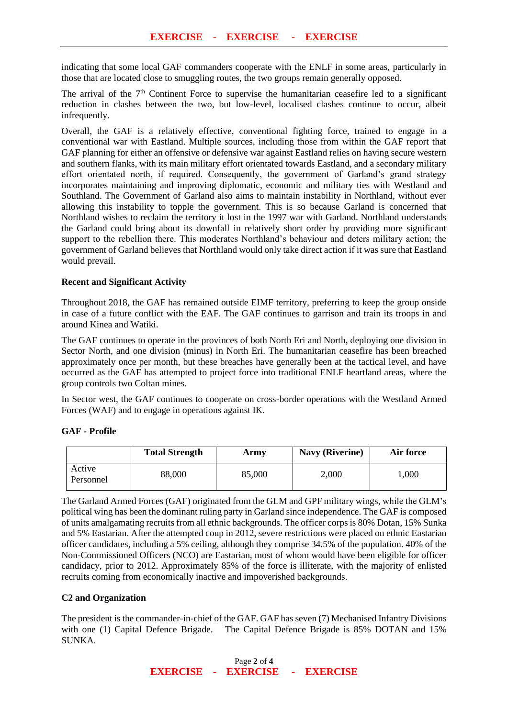indicating that some local GAF commanders cooperate with the ENLF in some areas, particularly in those that are located close to smuggling routes, the two groups remain generally opposed.

The arrival of the  $7<sup>th</sup>$  Continent Force to supervise the humanitarian ceasefire led to a significant reduction in clashes between the two, but low-level, localised clashes continue to occur, albeit infrequently.

Overall, the GAF is a relatively effective, conventional fighting force, trained to engage in a conventional war with Eastland. Multiple sources, including those from within the GAF report that GAF planning for either an offensive or defensive war against Eastland relies on having secure western and southern flanks, with its main military effort orientated towards Eastland, and a secondary military effort orientated north, if required. Consequently, the government of Garland's grand strategy incorporates maintaining and improving diplomatic, economic and military ties with Westland and Southland. The Government of Garland also aims to maintain instability in Northland, without ever allowing this instability to topple the government. This is so because Garland is concerned that Northland wishes to reclaim the territory it lost in the 1997 war with Garland. Northland understands the Garland could bring about its downfall in relatively short order by providing more significant support to the rebellion there. This moderates Northland's behaviour and deters military action; the government of Garland believes that Northland would only take direct action if it was sure that Eastland would prevail.

## **Recent and Significant Activity**

Throughout 2018, the GAF has remained outside EIMF territory, preferring to keep the group onside in case of a future conflict with the EAF. The GAF continues to garrison and train its troops in and around Kinea and Watiki.

The GAF continues to operate in the provinces of both North Eri and North, deploying one division in Sector North, and one division (minus) in North Eri. The humanitarian ceasefire has been breached approximately once per month, but these breaches have generally been at the tactical level, and have occurred as the GAF has attempted to project force into traditional ENLF heartland areas, where the group controls two Coltan mines.

In Sector west, the GAF continues to cooperate on cross-border operations with the Westland Armed Forces (WAF) and to engage in operations against IK.

#### **GAF - Profile**

|                     | <b>Total Strength</b> | Army   | <b>Navy (Riverine)</b> | Air force |
|---------------------|-----------------------|--------|------------------------|-----------|
| Active<br>Personnel | 88,000                | 85,000 | 2,000                  | $000$ .   |

The Garland Armed Forces (GAF) originated from the GLM and GPF military wings, while the GLM's political wing has been the dominant ruling party in Garland since independence. The GAF is composed of units amalgamating recruits from all ethnic backgrounds. The officer corps is 80% Dotan, 15% Sunka and 5% Eastarian. After the attempted coup in 2012, severe restrictions were placed on ethnic Eastarian officer candidates, including a 5% ceiling, although they comprise 34.5% of the population. 40% of the Non-Commissioned Officers (NCO) are Eastarian, most of whom would have been eligible for officer candidacy, prior to 2012. Approximately 85% of the force is illiterate, with the majority of enlisted recruits coming from economically inactive and impoverished backgrounds.

# **C2 and Organization**

The president is the commander-in-chief of the GAF. GAF has seven (7) Mechanised Infantry Divisions with one (1) Capital Defence Brigade. The Capital Defence Brigade is 85% DOTAN and 15% SUNKA.

> Page **2** of **4 EXERCISE - EXERCISE - EXERCISE**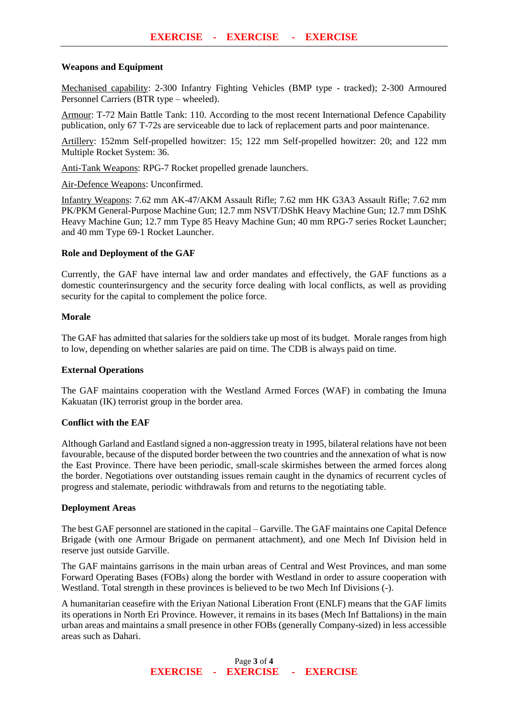## **Weapons and Equipment**

Mechanised capability: 2-300 Infantry Fighting Vehicles (BMP type - tracked); 2-300 Armoured Personnel Carriers (BTR type – wheeled).

Armour: T-72 Main Battle Tank: 110. According to the most recent International Defence Capability publication, only 67 T-72s are serviceable due to lack of replacement parts and poor maintenance.

Artillery: 152mm Self-propelled howitzer: 15; 122 mm Self-propelled howitzer: 20; and 122 mm Multiple Rocket System: 36.

Anti-Tank Weapons: RPG-7 Rocket propelled grenade launchers.

Air-Defence Weapons: Unconfirmed.

Infantry Weapons: 7.62 mm AK-47/AKM Assault Rifle; 7.62 mm HK G3A3 Assault Rifle; 7.62 mm PK/PKM General-Purpose Machine Gun; 12.7 mm NSVT/DShK Heavy Machine Gun; 12.7 mm DShK Heavy Machine Gun; 12.7 mm Type 85 Heavy Machine Gun; 40 mm RPG-7 series Rocket Launcher; and 40 mm Type 69-1 Rocket Launcher.

## **Role and Deployment of the GAF**

Currently, the GAF have internal law and order mandates and effectively, the GAF functions as a domestic counterinsurgency and the security force dealing with local conflicts, as well as providing security for the capital to complement the police force.

## **Morale**

The GAF has admitted that salaries for the soldiers take up most of its budget. Morale ranges from high to low, depending on whether salaries are paid on time. The CDB is always paid on time.

#### **External Operations**

The GAF maintains cooperation with the Westland Armed Forces (WAF) in combating the Imuna Kakuatan (IK) terrorist group in the border area.

#### **Conflict with the EAF**

Although Garland and Eastland signed a non-aggression treaty in 1995, bilateral relations have not been favourable, because of the disputed border between the two countries and the annexation of what is now the East Province. There have been periodic, small-scale skirmishes between the armed forces along the border. Negotiations over outstanding issues remain caught in the dynamics of recurrent cycles of progress and stalemate, periodic withdrawals from and returns to the negotiating table.

## **Deployment Areas**

The best GAF personnel are stationed in the capital – Garville. The GAF maintains one Capital Defence Brigade (with one Armour Brigade on permanent attachment), and one Mech Inf Division held in reserve just outside Garville.

The GAF maintains garrisons in the main urban areas of Central and West Provinces, and man some Forward Operating Bases (FOBs) along the border with Westland in order to assure cooperation with Westland. Total strength in these provinces is believed to be two Mech Inf Divisions (-).

A humanitarian ceasefire with the Eriyan National Liberation Front (ENLF) means that the GAF limits its operations in North Eri Province. However, it remains in its bases (Mech Inf Battalions) in the main urban areas and maintains a small presence in other FOBs (generally Company-sized) in less accessible areas such as Dahari.

> Page **3** of **4 EXERCISE - EXERCISE - EXERCISE**